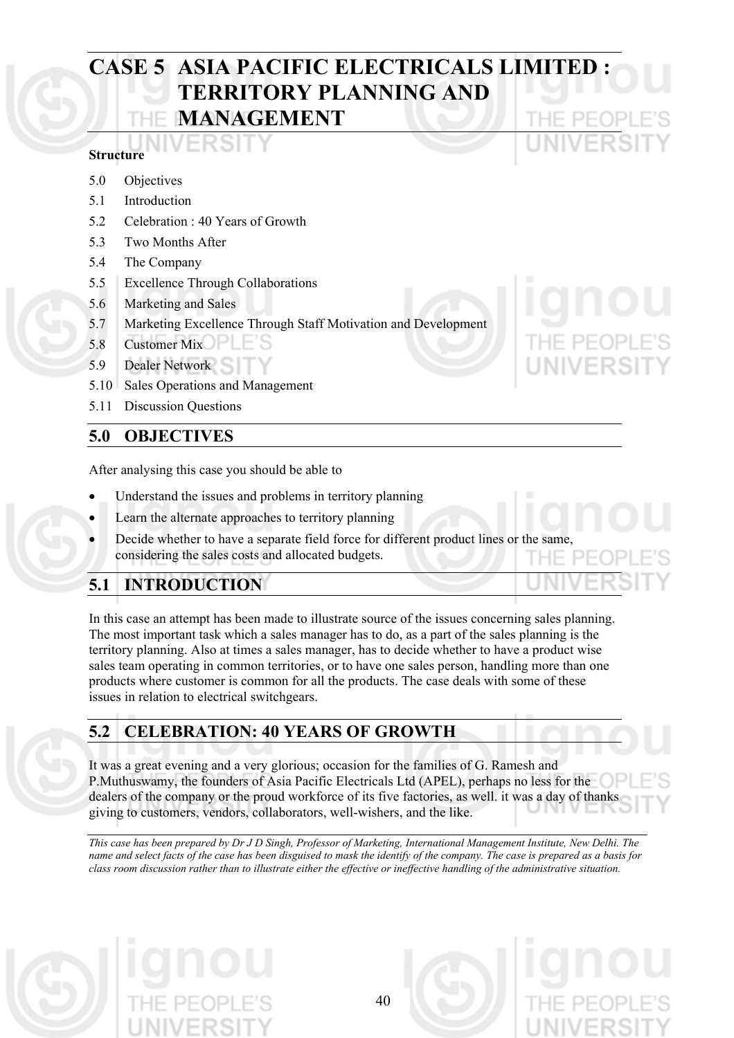# **CASE 5 ASIA PACIFIC ELECTRICALS LIMITED : TERRITORY PLANNING AND MANAGEMENT**

#### **Structure**

- 5.0 Objectives
- 5.1 Introduction
- 5.2 Celebration : 40 Years of Growth
- 5.3 Two Months After
- 5.4 The Company
- 5.5 Excellence Through Collaborations
- 5.6 Marketing and Sales
- 5.7 Marketing Excellence Through Staff Motivation and Development
- 5.8 Customer Mix
- 5.9 Dealer Network
- 5.10 Sales Operations and Management
- 5.11 Discussion Questions

#### **5.0 OBJECTIVES**

After analysing this case you should be able to

- Understand the issues and problems in territory planning
- Learn the alternate approaches to territory planning
- Decide whether to have a separate field force for different product lines or the same considering the sales costs and allocated budgets.

## **5.1 INTRODUCTION**

In this case an attempt has been made to illustrate source of the issues concerning sales planning. The most important task which a sales manager has to do, as a part of the sales planning is the territory planning. Also at times a sales manager, has to decide whether to have a product wise sales team operating in common territories, or to have one sales person, handling more than one products where customer is common for all the products. The case deals with some of these issues in relation to electrical switchgears.

#### **5.2 CELEBRATION: 40 YEARS OF GROWTH**

It was a great evening and a very glorious; occasion for the families of G. Ramesh and P.Muthuswamy, the founders of Asia Pacific Electricals Ltd (APEL), perhaps no less for the dealers of the company or the proud workforce of its five factories, as well. it was a day of thanks giving to customers, vendors, collaborators, well-wishers, and the like.

*This case has been prepared by Dr J D Singh, Professor of Marketing, International Management Institute, New Delhi. The name and select facts of the case has been disguised to mask the identify of the company. The case is prepared as a basis for class room discussion rather than to illustrate either the effective or ineffective handling of the administrative situation.* 

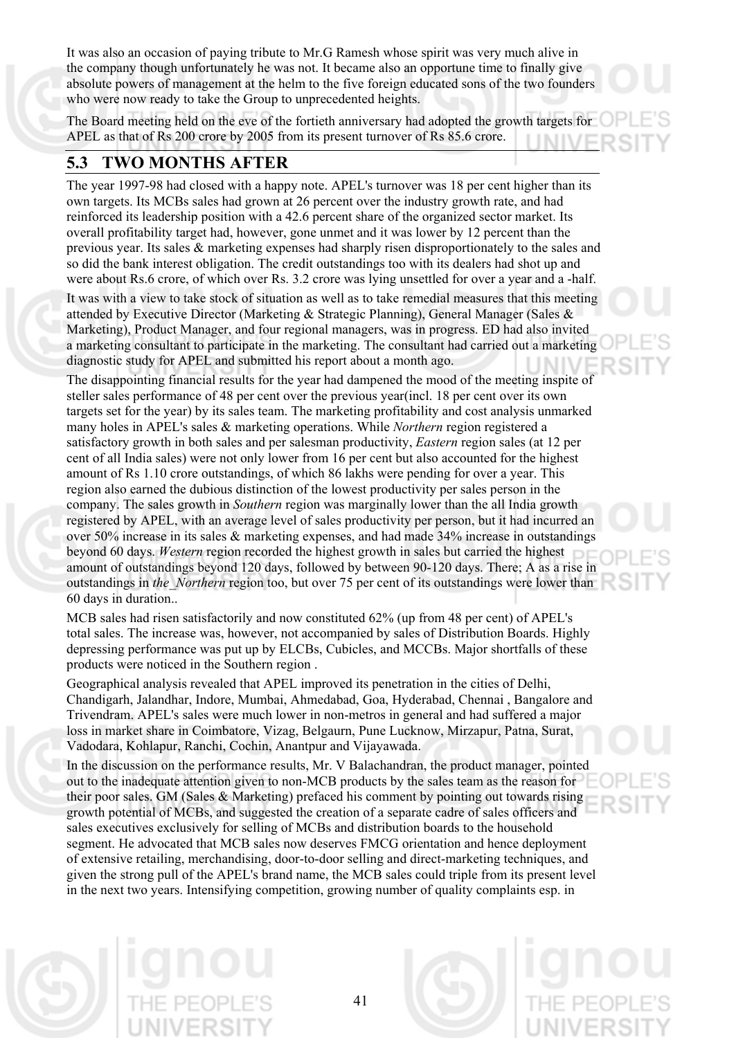It was also an occasion of paying tribute to Mr.G Ramesh whose spirit was very much alive in the company though unfortunately he was not. It became also an opportune time to finally give absolute powers of management at the helm to the five foreign educated sons of the two founders who were now ready to take the Group to unprecedented heights.

The Board meeting held on the eve of the fortieth anniversary had adopted the growth targets for APEL as that of Rs 200 crore by 2005 from its present turnover of Rs 85.6 crore. ININ

#### **5.3 TWO MONTHS AFTER**

The year 1997-98 had closed with a happy note. APEL's turnover was 18 per cent higher than its own targets. Its MCBs sales had grown at 26 percent over the industry growth rate, and had reinforced its leadership position with a 42.6 percent share of the organized sector market. Its overall profitability target had, however, gone unmet and it was lower by 12 percent than the previous year. Its sales & marketing expenses had sharply risen disproportionately to the sales and so did the bank interest obligation. The credit outstandings too with its dealers had shot up and were about Rs.6 crore, of which over Rs. 3.2 crore was lying unsettled for over a year and a -half.

It was with a view to take stock of situation as well as to take remedial measures that this meeting attended by Executive Director (Marketing & Strategic Planning), General Manager (Sales & Marketing), Product Manager, and four regional managers, was in progress. ED had also invited a marketing consultant to participate in the marketing. The consultant had carried out a marketing diagnostic study for APEL and submitted his report about a month ago.

The disappointing financial results for the year had dampened the mood of the meeting inspite of steller sales performance of 48 per cent over the previous year(incl. 18 per cent over its own targets set for the year) by its sales team. The marketing profitability and cost analysis unmarked many holes in APEL's sales & marketing operations. While *Northern* region registered a satisfactory growth in both sales and per salesman productivity, *Eastern* region sales (at 12 per cent of all India sales) were not only lower from 16 per cent but also accounted for the highest amount of Rs 1.10 crore outstandings, of which 86 lakhs were pending for over a year. This region also earned the dubious distinction of the lowest productivity per sales person in the company. The sales growth in *Southern* region was marginally lower than the all India growth registered by APEL, with an average level of sales productivity per person, but it had incurred an over 50% increase in its sales & marketing expenses, and had made 34% increase in outstandings beyond 60 days. *Western* region recorded the highest growth in sales but carried the highest amount of outstandings beyond 120 days, followed by between 90-120 days. There; A as a rise in outstandings in *the\_Northern* region too, but over 75 per cent of its outstandings were lower than 60 days in duration..

MCB sales had risen satisfactorily and now constituted 62% (up from 48 per cent) of APEL's total sales. The increase was, however, not accompanied by sales of Distribution Boards. Highly depressing performance was put up by ELCBs, Cubicles, and MCCBs. Major shortfalls of these products were noticed in the Southern region .

Geographical analysis revealed that APEL improved its penetration in the cities of Delhi, Chandigarh, Jalandhar, Indore, Mumbai, Ahmedabad, Goa, Hyderabad, Chennai , Bangalore and Trivendram. APEL's sales were much lower in non-metros in general and had suffered a major loss in market share in Coimbatore, Vizag, Belgaurn, Pune Lucknow, Mirzapur, Patna, Surat, Vadodara, Kohlapur, Ranchi, Cochin, Anantpur and Vijayawada.

In the discussion on the performance results, Mr. V Balachandran, the product manager, pointed out to the inadequate attention given to non-MCB products by the sales team as the reason for their poor sales. GM (Sales & Marketing) prefaced his comment by pointing out towards rising growth potential of MCBs, and suggested the creation of a separate cadre of sales officers and sales executives exclusively for selling of MCBs and distribution boards to the household segment. He advocated that MCB sales now deserves FMCG orientation and hence deployment of extensive retailing, merchandising, door-to-door selling and direct-marketing techniques, and given the strong pull of the APEL's brand name, the MCB sales could triple from its present level in the next two years. Intensifying competition, growing number of quality complaints esp. in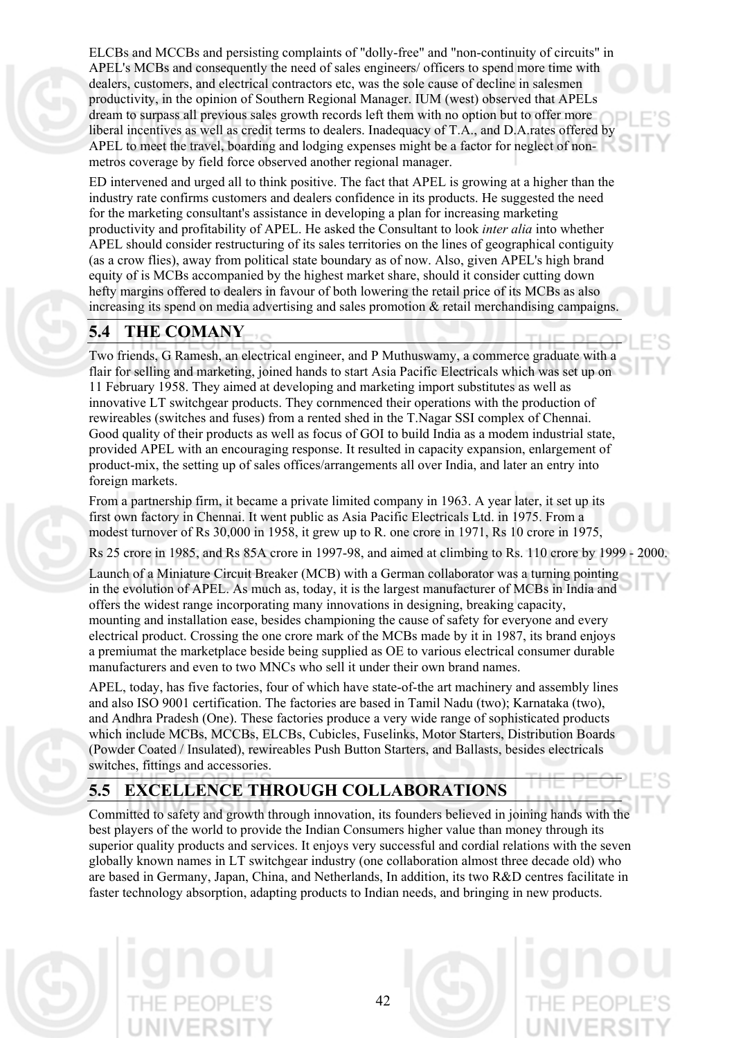ELCBs and MCCBs and persisting complaints of "dolly-free" and "non-continuity of circuits" in APEL's MCBs and consequently the need of sales engineers/ officers to spend more time with dealers, customers, and electrical contractors etc, was the sole cause of decline in salesmen productivity, in the opinion of Southern Regional Manager. IUM (west) observed that APELs dream to surpass all previous sales growth records left them with no option but to offer more liberal incentives as well as credit terms to dealers. Inadequacy of T.A., and D.A.rates offered by APEL to meet the travel, boarding and lodging expenses might be a factor for neglect of nonmetros coverage by field force observed another regional manager.

ED intervened and urged all to think positive. The fact that APEL is growing at a higher than the industry rate confirms customers and dealers confidence in its products. He suggested the need for the marketing consultant's assistance in developing a plan for increasing marketing productivity and profitability of APEL. He asked the Consultant to look *inter alia* into whether APEL should consider restructuring of its sales territories on the lines of geographical contiguity (as a crow flies), away from political state boundary as of now. Also, given APEL's high brand equity of is MCBs accompanied by the highest market share, should it consider cutting down hefty margins offered to dealers in favour of both lowering the retail price of its MCBs as also increasing its spend on media advertising and sales promotion  $\&$  retail merchandising campaigns.

### **5.4 THE COMANY**

Two friends, G Ramesh, an electrical engineer, and P Muthuswamy, a commerce graduate with a flair for selling and marketing, joined hands to start Asia Pacific Electricals which was set up on 11 February 1958. They aimed at developing and marketing import substitutes as well as innovative LT switchgear products. They cornmenced their operations with the production of rewireables (switches and fuses) from a rented shed in the T.Nagar SSI complex of Chennai. Good quality of their products as well as focus of GOI to build India as a modem industrial state, provided APEL with an encouraging response. It resulted in capacity expansion, enlargement of product-mix, the setting up of sales offices/arrangements all over India, and later an entry into foreign markets.

From a partnership firm, it became a private limited company in 1963. A year later, it set up its first own factory in Chennai. It went public as Asia Pacific Electricals Ltd. in 1975. From a modest turnover of Rs 30,000 in 1958, it grew up to R. one crore in 1971, Rs 10 crore in 1975,

Rs 25 crore in 1985, and Rs 85A crore in 1997-98, and aimed at climbing to Rs. 110 crore by 1999 - 2000.

Launch of a Miniature Circuit Breaker (MCB) with a German collaborator was a turning pointing in the evolution of APEL. As much as, today, it is the largest manufacturer of MCBs in India and offers the widest range incorporating many innovations in designing, breaking capacity, mounting and installation ease, besides championing the cause of safety for everyone and every electrical product. Crossing the one crore mark of the MCBs made by it in 1987, its brand enjoys a premiumat the marketplace beside being supplied as OE to various electrical consumer durable manufacturers and even to two MNCs who sell it under their own brand names.

APEL, today, has five factories, four of which have state-of-the art machinery and assembly lines and also ISO 9001 certification. The factories are based in Tamil Nadu (two); Karnataka (two), and Andhra Pradesh (One). These factories produce a very wide range of sophisticated products which include MCBs, MCCBs, ELCBs, Cubicles, Fuselinks, Motor Starters, Distribution Boards (Powder Coated / Insulated), rewireables Push Button Starters, and Ballasts, besides electricals switches, fittings and accessories.

# **5.5 EXCELLENCE THROUGH COLLABORATIONS**

Committed to safety and growth through innovation, its founders believed in joining hands with the best players of the world to provide the Indian Consumers higher value than money through its superior quality products and services. It enjoys very successful and cordial relations with the seven globally known names in LT switchgear industry (one collaboration almost three decade old) who are based in Germany, Japan, China, and Netherlands, In addition, its two R&D centres facilitate in faster technology absorption, adapting products to Indian needs, and bringing in new products.

42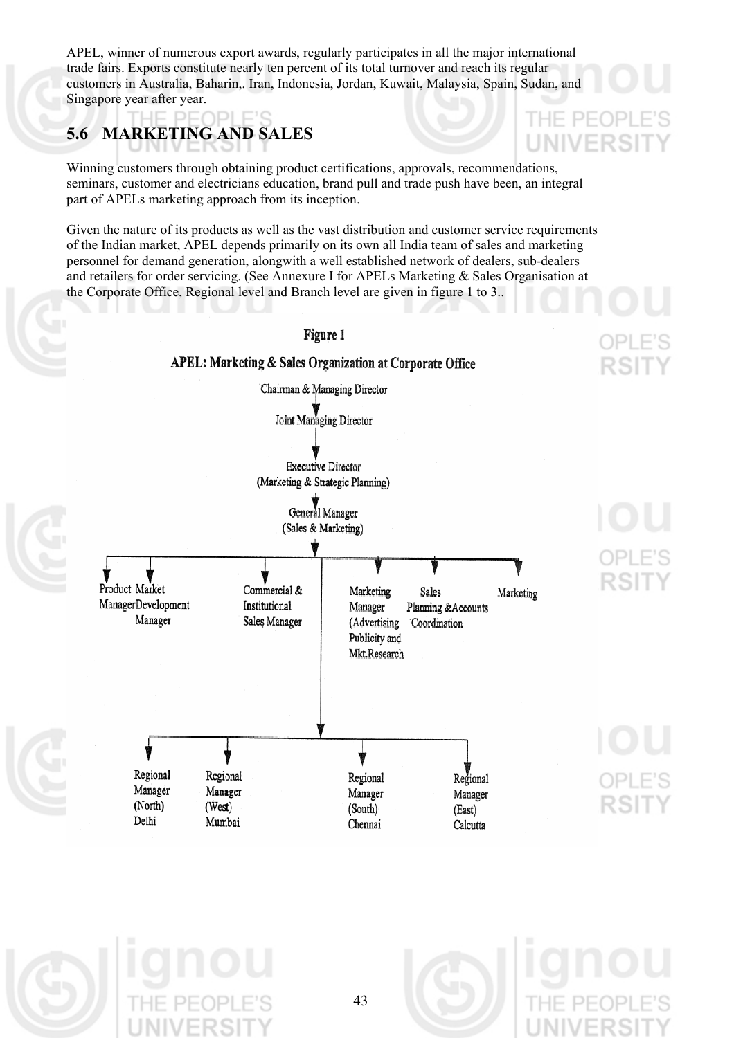APEL, winner of numerous export awards, regularly participates in all the major international trade fairs. Exports constitute nearly ten percent of its total turnover and reach its regular customers in Australia, Baharin,. Iran, Indonesia, Jordan, Kuwait, Malaysia, Spain, Sudan, and Singapore year after year.

### **5.6 MARKETING AND SALES**

Winning customers through obtaining product certifications, approvals, recommendations, seminars, customer and electricians education, brand pull and trade push have been, an integral part of APELs marketing approach from its inception.

Given the nature of its products as well as the vast distribution and customer service requirements of the Indian market, APEL depends primarily on its own all India team of sales and marketing personnel for demand generation, alongwith a well established network of dealers, sub-dealers and retailers for order servicing. (See Annexure I for APELs Marketing & Sales Organisation at the Corporate Office, Regional level and Branch level are given in figure 1 to 3..



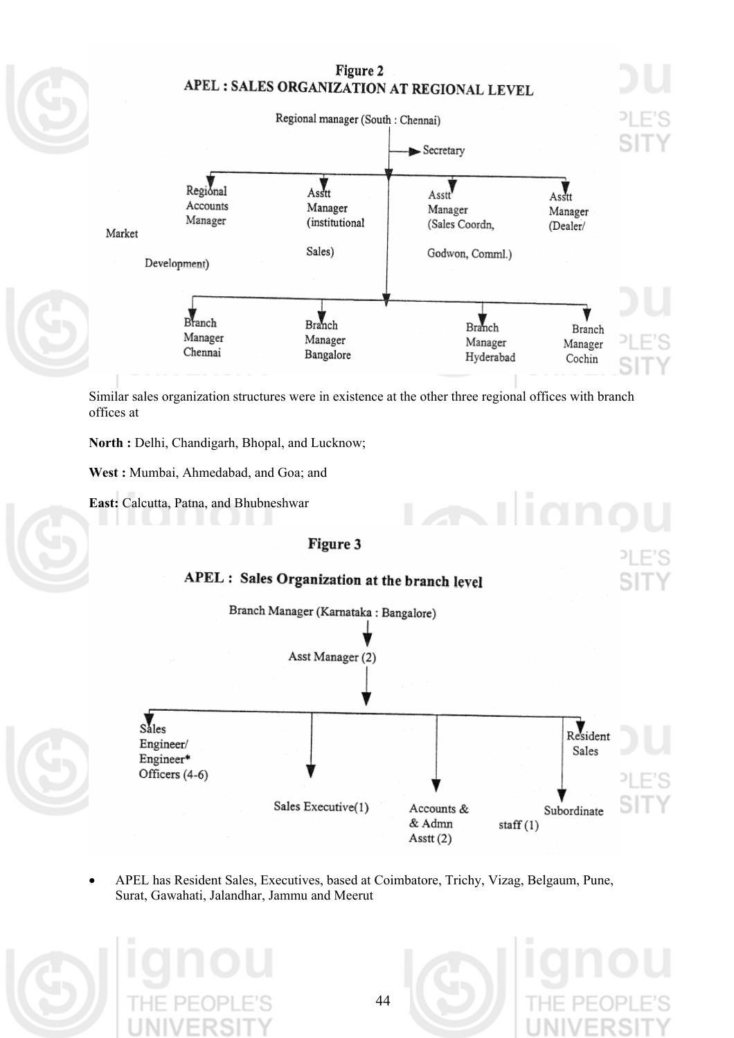#### Figure 2 APEL : SALES ORGANIZATION AT REGIONAL LEVEL



Similar sales organization structures were in existence at the other three regional offices with branch offices at

North : Delhi, Chandigarh, Bhopal, and Lucknow;

**West :** Mumbai, Ahmedabad, and Goa; and

**East:** Calcutta, Patna, and Bhubneshwar



APEL has Resident Sales, Executives, based at Coimbatore, Trichy, Vizag, Belgaum, Pune, Surat, Gawahati, Jalandhar, Jammu and Meerut •



Asstt (2)

 $staff(1)$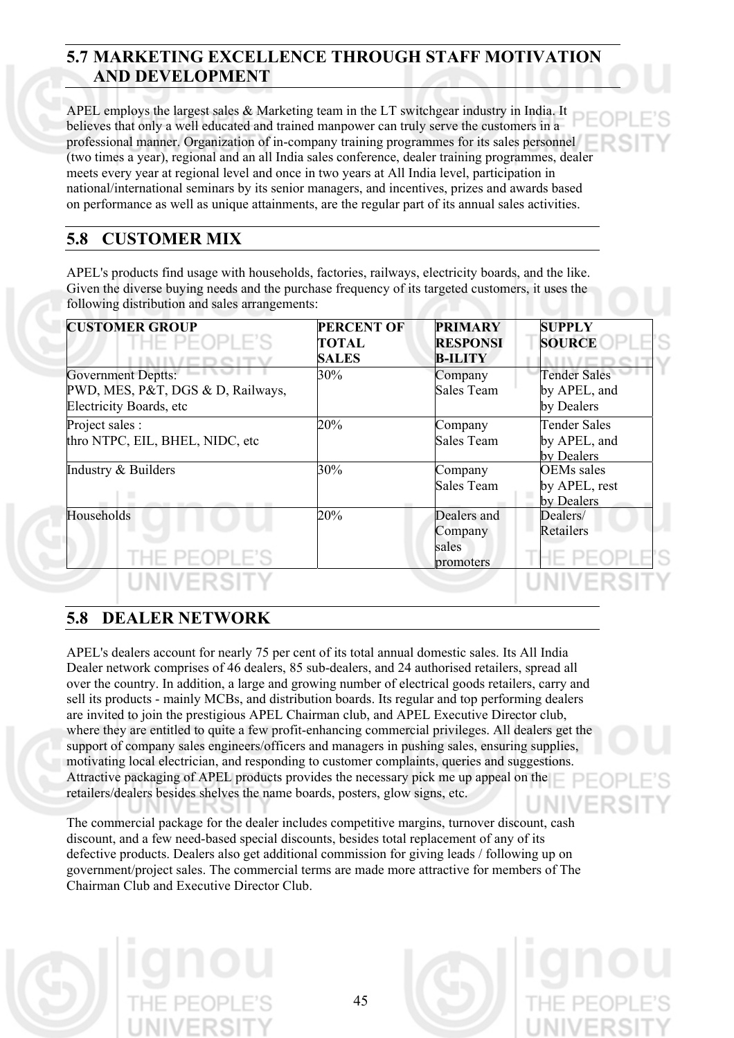### **5.7 MARKETING EXCELLENCE THROUGH STAFF MOTIVATION AND DEVELOPMENT**

APEL employs the largest sales & Marketing team in the LT switchgear industry in India. It believes that only a well educated and trained manpower can truly serve the customers in a professional manner. Organization of in-company training programmes for its sales personnel (two times a year), regional and an all India sales conference, dealer training programmes, dealer meets every year at regional level and once in two years at All India level, participation in national/international seminars by its senior managers, and incentives, prizes and awards based on performance as well as unique attainments, are the regular part of its annual sales activities.

#### **5.8 CUSTOMER MIX**

APEL's products find usage with households, factories, railways, electricity boards, and the like. Given the diverse buying needs and the purchase frequency of its targeted customers, it uses the following distribution and sales arrangements:

| <b>CUSTOMER GROUP</b>             | <b>PERCENT OF</b> | <b>PRIMARY</b>  | <b>SUPPLY</b>       |
|-----------------------------------|-------------------|-----------------|---------------------|
| E PEOPLE                          | <b>TOTAL</b>      | <b>RESPONSI</b> | <b>SOURCE</b>       |
|                                   | <b>SALES</b>      | <b>B-ILITY</b>  |                     |
| <b>Government Deptts:</b>         | 30%               | Company         | <b>Tender Sales</b> |
| PWD, MES, P&T, DGS & D, Railways, |                   | Sales Team      | by APEL, and        |
| Electricity Boards, etc           |                   |                 | by Dealers          |
| Project sales :                   | 20%               | Company         | <b>Tender Sales</b> |
| thro NTPC, EIL, BHEL, NIDC, etc   |                   | Sales Team      | by APEL, and        |
|                                   |                   |                 | by Dealers          |
| Industry & Builders               | 30%               | Company         | <b>OEMs</b> sales   |
|                                   |                   | Sales Team      | by APEL, rest       |
|                                   |                   |                 | by Dealers          |
| Households                        | 20%               | Dealers and     | Dealers/            |
|                                   |                   | Company         | Retailers           |
|                                   |                   | sales           |                     |
|                                   |                   | promoters       |                     |
| UNIVERSITY                        |                   |                 | <b>NIVERSIT</b>     |

#### **5.8 DEALER NETWORK**

APEL's dealers account for nearly 75 per cent of its total annual domestic sales. Its All India Dealer network comprises of 46 dealers, 85 sub-dealers, and 24 authorised retailers, spread all over the country. In addition, a large and growing number of electrical goods retailers, carry and sell its products - mainly MCBs, and distribution boards. Its regular and top performing dealers are invited to join the prestigious APEL Chairman club, and APEL Executive Director club, where they are entitled to quite a few profit-enhancing commercial privileges. All dealers get the support of company sales engineers/officers and managers in pushing sales, ensuring supplies, motivating local electrician, and responding to customer complaints, queries and suggestions. Attractive packaging of APEL products provides the necessary pick me up appeal on the retailers/dealers besides shelves the name boards, posters, glow signs, etc.

The commercial package for the dealer includes competitive margins, turnover discount, cash discount, and a few need-based special discounts, besides total replacement of any of its defective products. Dealers also get additional commission for giving leads / following up on government/project sales. The commercial terms are made more attractive for members of The Chairman Club and Executive Director Club.

45